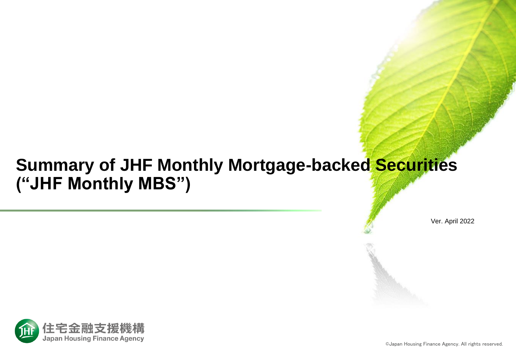# **Summary of JHF Monthly Mortgage-backed Securities ("JHF Monthly MBS")**

Ver. April 2022

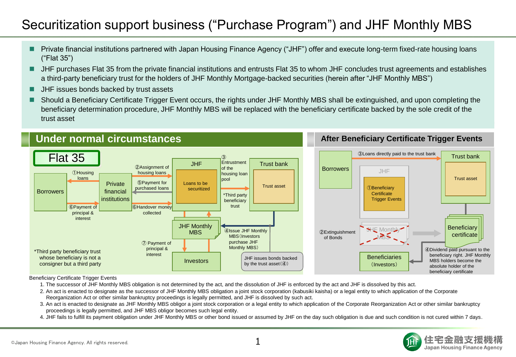## Securitization support business ("Purchase Program") and JHF Monthly MBS

- Private financial institutions partnered with Japan Housing Finance Agency ("JHF") offer and execute long-term fixed-rate housing loans ("Flat 35")
- JHF purchases Flat 35 from the private financial institutions and entrusts Flat 35 to whom JHF concludes trust agreements and establishes a third-party beneficiary trust for the holders of JHF Monthly Mortgage-backed securities (herein after "JHF Monthly MBS")
- **JHF** issues bonds backed by trust assets
- Should a Beneficiary Certificate Trigger Event occurs, the rights under JHF Monthly MBS shall be extinguished, and upon completing the beneficiary determination procedure, JHF Monthly MBS will be replaced with the beneficiary certificate backed by the sole credit of the trust asset



#### Beneficiary Certificate Trigger Events

- 1. The successor of JHF Monthly MBS obligation is not determined by the act, and the dissolution of JHF is enforced by the act and JHF is dissolved by this act.
- 2. An act is enacted to designate as the successor of JHF Monthly MBS obligation a joint stock corporation (kabusiki kaisha) or a legal entity to which application of the Corporate Reorganization Act or other similar bankruptcy proceedings is legally permitted, and JHF is dissolved by such act.
- 3. An act is enacted to designate as JHF Monthly MBS obligor a joint stock corporation or a legal entity to which application of the Corporate Reorganization Act or other similar bankruptcy proceedings is legally permitted, and JHF MBS obligor becomes such legal entity.
- 4. JHF fails to fulfill its payment obligation under JHF Monthly MBS or other bond issued or assumed by JHF on the day such obligation is due and such condition is not cured within 7 days.

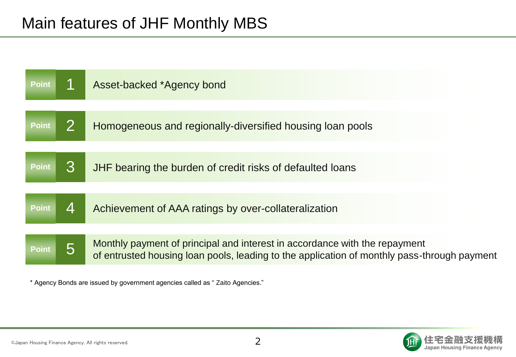| <b>Point</b> |    | Asset-backed *Agency bond                                                                                                                                                 |
|--------------|----|---------------------------------------------------------------------------------------------------------------------------------------------------------------------------|
|              |    |                                                                                                                                                                           |
| <b>Point</b> |    | Homogeneous and regionally-diversified housing loan pools                                                                                                                 |
|              |    |                                                                                                                                                                           |
| <b>Point</b> | 3  | JHF bearing the burden of credit risks of defaulted loans                                                                                                                 |
|              |    |                                                                                                                                                                           |
| <b>Point</b> | Δ. | Achievement of AAA ratings by over-collateralization                                                                                                                      |
|              |    |                                                                                                                                                                           |
| <b>Point</b> |    | Monthly payment of principal and interest in accordance with the repayment<br>of entrusted housing loan pools, leading to the application of monthly pass-through payment |
|              |    |                                                                                                                                                                           |

\* Agency Bonds are issued by government agencies called as " Zaito Agencies."



僟構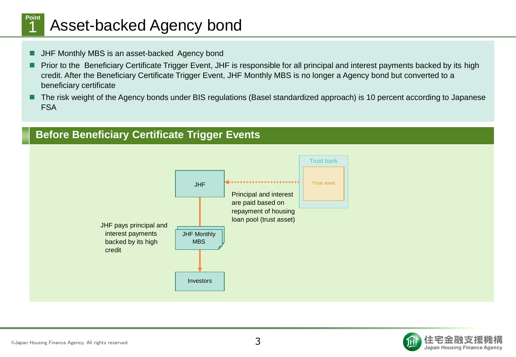### Asset-backed Agency bond **Point**

**H** JHF Monthly MBS is an asset-backed Agency bond

1

- Prior to the Beneficiary Certificate Trigger Event, JHF is responsible for all principal and interest payments backed by its high credit. After the Beneficiary Certificate Trigger Event, JHF Monthly MBS is no longer a Agency bond but converted to a beneficiary certificate
- The risk weight of the Agency bonds under BIS regulations (Basel standardized approach) is 10 percent according to Japanese FSA





**Before Beneficiary Certificate Trigger Events**

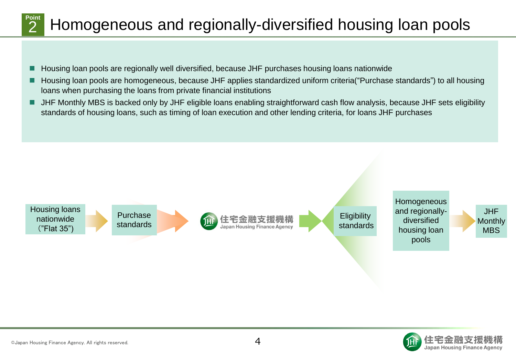#### Homogeneous and regionally-diversified housing loan pools **Point** 2

- Housing loan pools are regionally well diversified, because JHF purchases housing loans nationwide
- Housing loan pools are homogeneous, because JHF applies standardized uniform criteria("Purchase standards") to all housing loans when purchasing the loans from private financial institutions
- JHF Monthly MBS is backed only by JHF eligible loans enabling straightforward cash flow analysis, because JHF sets eligibility standards of housing loans, such as timing of loan execution and other lending criteria, for loans JHF purchases



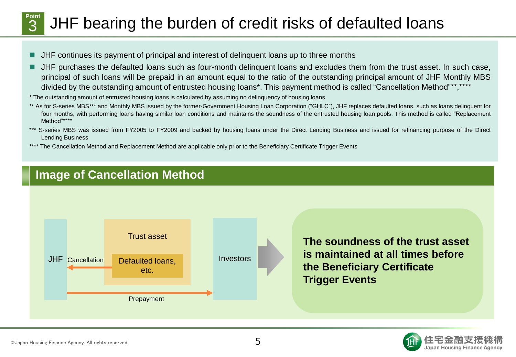#### JHF bearing the burden of credit risks of defaulted loans **Point** 3

- JHF continues its payment of principal and interest of delinquent loans up to three months
- JHF purchases the defaulted loans such as four-month delinquent loans and excludes them from the trust asset. In such case, principal of such loans will be prepaid in an amount equal to the ratio of the outstanding principal amount of JHF Monthly MBS divided by the outstanding amount of entrusted housing loans\*. This payment method is called "Cancellation Method"\*\*,\*\*\*\*
- \* The outstanding amount of entrusted housing loans is calculated by assuming no delinquency of housing loans
- \*\* As for S-series MBS\*\*\* and Monthly MBS issued by the former-Government Housing Loan Corporation ("GHLC"), JHF replaces defaulted loans, such as loans delinquent for four months, with performing loans having similar loan conditions and maintains the soundness of the entrusted housing loan pools. This method is called "Replacement Method"\*\*\*\*
- \*\*\* S-series MBS was issued from FY2005 to FY2009 and backed by housing loans under the Direct Lending Business and issued for refinancing purpose of the Direct Lending Business
- \*\*\*\* The Cancellation Method and Replacement Method are applicable only prior to the Beneficiary Certificate Trigger Events

## **Image of Cancellation Method**



**The soundness of the trust asset is maintained at all times before the Beneficiary Certificate Trigger Events**



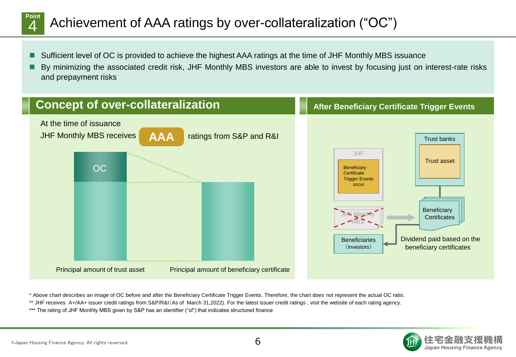#### Achievement of AAA ratings by over-collateralization ("OC") **Point**  $\boldsymbol{\varDelta}$

- Sufficient level of OC is provided to achieve the highest AAA ratings at the time of JHF Monthly MBS issuance
- By minimizing the associated credit risk, JHF Monthly MBS investors are able to invest by focusing just on interest-rate risks and prepayment risks



\* Above chart describes an image of OC before and after the Beneficiary Certificate Trigger Events. Therefore, the chart does not represent the actual OC ratio.

\*\* JHF receives A+/AA+ issuer credit ratings from S&P/R&I(As of March 31,2022). For the latest issuer credit ratings , visit the website of each rating agency.

\*\*\* The rating of JHF Monthly MBS given by S&P has an identifier ("sf") that indicates structured finance

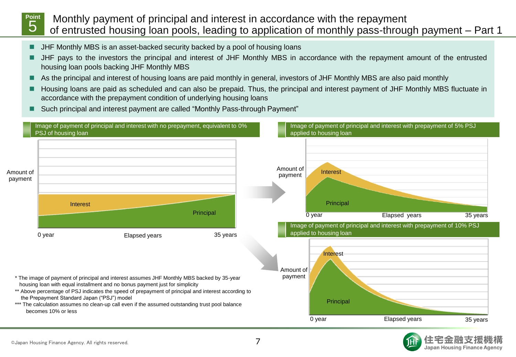#### Monthly payment of principal and interest in accordance with the repayment of entrusted housing loan pools, leading to application of monthly pass-through payment – Part 1 **Point** 5

- **I** JHF Monthly MBS is an asset-backed security backed by a pool of housing loans
- JHF pays to the investors the principal and interest of JHF Monthly MBS in accordance with the repayment amount of the entrusted housing loan pools backing JHF Monthly MBS
- As the principal and interest of housing loans are paid monthly in general, investors of JHF Monthly MBS are also paid monthly
- Housing loans are paid as scheduled and can also be prepaid. Thus, the principal and interest payment of JHF Monthly MBS fluctuate in accordance with the prepayment condition of underlying housing loans
- Such principal and interest payment are called "Monthly Pass-through Payment"



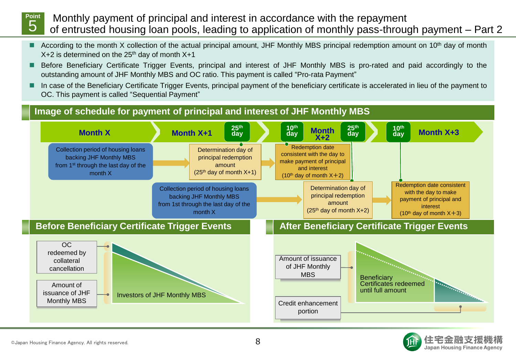

Monthly payment of principal and interest in accordance with the repayment of entrusted housing loan pools, leading to application of monthly pass-through payment – Part 2

- According to the month X collection of the actual principal amount, JHF Monthly MBS principal redemption amount on 10<sup>th</sup> day of month  $X+2$  is determined on the 25<sup>th</sup> day of month  $X+1$
- Before Beneficiary Certificate Trigger Events, principal and interest of JHF Monthly MBS is pro-rated and paid accordingly to the outstanding amount of JHF Monthly MBS and OC ratio. This payment is called "Pro-rata Payment"
- In case of the Beneficiary Certificate Trigger Events, principal payment of the beneficiary certificate is accelerated in lieu of the payment to OC. This payment is called "Sequential Payment"





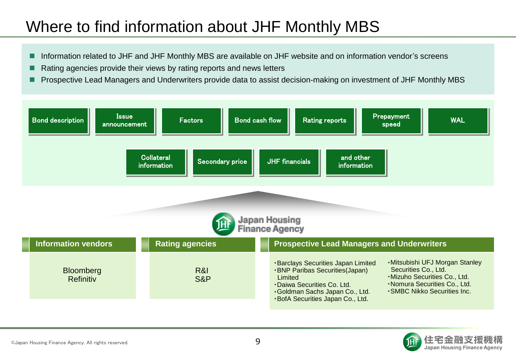## Where to find information about JHF Monthly MBS

- Information related to JHF and JHF Monthly MBS are available on JHF website and on information vendor's screens
- Rating agencies provide their views by rating reports and news letters
- Prospective Lead Managers and Underwriters provide data to assist decision-making on investment of JHF Monthly MBS



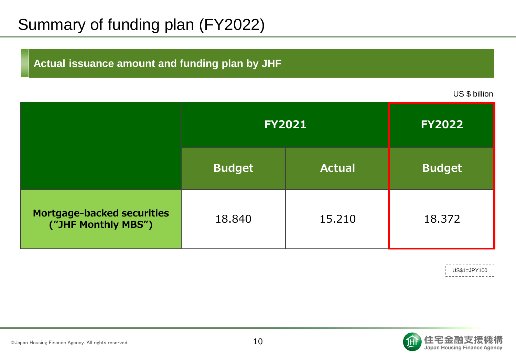# Summary of funding plan (FY2022)

### **Actual issuance amount and funding plan by JHF**

US \$ billion

|                                                          | <b>FY2021</b> |               | <b>FY2022</b> |
|----------------------------------------------------------|---------------|---------------|---------------|
|                                                          | <b>Budget</b> | <b>Actual</b> | <b>Budget</b> |
| <b>Mortgage-backed securities</b><br>("JHF Monthly MBS") | 18.840        | 15.210        | 18.372        |

US\$1=JPY100